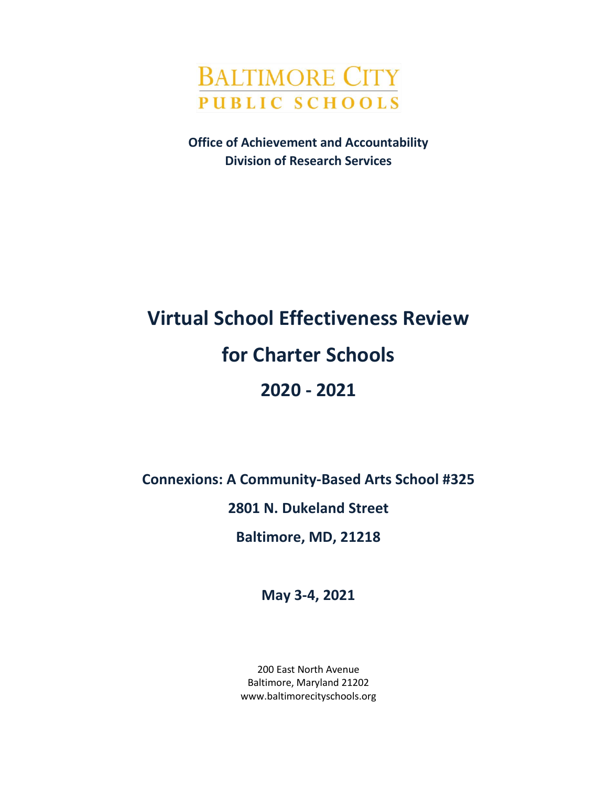

**Office of Achievement and Accountability Division of Research Services**

# **Virtual School Effectiveness Review for Charter Schools 2020 - 2021**

**Connexions: A Community-Based Arts School #325**

**2801 N. Dukeland Street**

**Baltimore, MD, 21218**

**May 3-4, 2021**

200 East North Avenue Baltimore, Maryland 21202 www.baltimorecityschools.org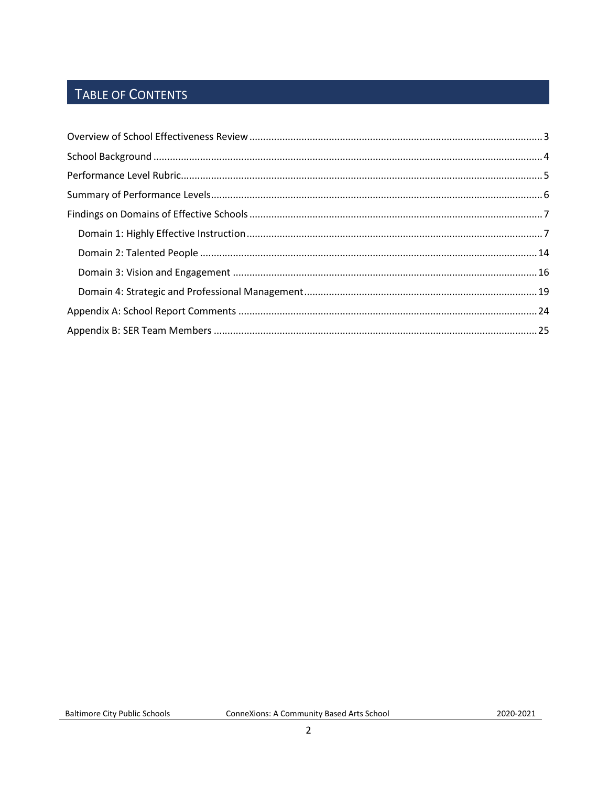# TABLE OF CONTENTS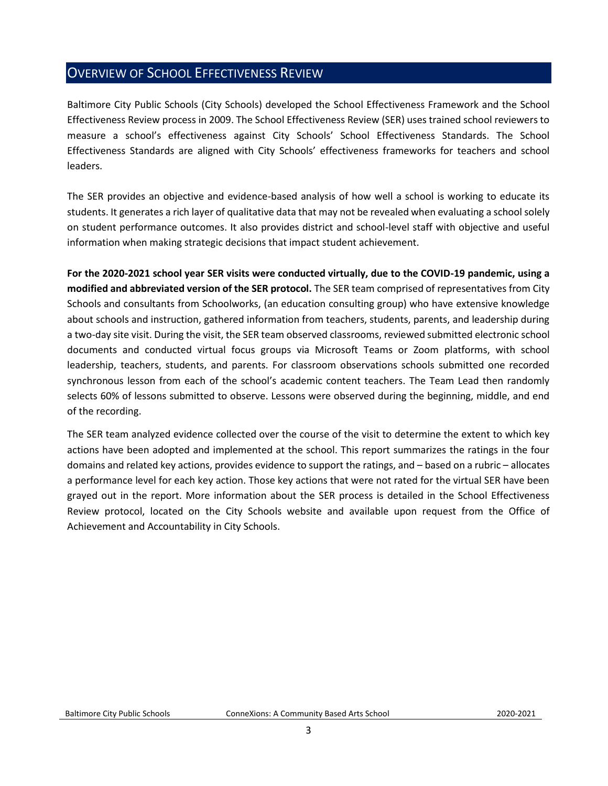# <span id="page-2-0"></span>OVERVIEW OF SCHOOL EFFECTIVENESS REVIEW

Baltimore City Public Schools (City Schools) developed the School Effectiveness Framework and the School Effectiveness Review process in 2009. The School Effectiveness Review (SER) uses trained school reviewers to measure a school's effectiveness against City Schools' School Effectiveness Standards. The School Effectiveness Standards are aligned with City Schools' effectiveness frameworks for teachers and school leaders.

The SER provides an objective and evidence-based analysis of how well a school is working to educate its students. It generates a rich layer of qualitative data that may not be revealed when evaluating a school solely on student performance outcomes. It also provides district and school-level staff with objective and useful information when making strategic decisions that impact student achievement.

**For the 2020-2021 school year SER visits were conducted virtually, due to the COVID-19 pandemic, using a modified and abbreviated version of the SER protocol.** The SER team comprised of representatives from City Schools and consultants from Schoolworks, (an education consulting group) who have extensive knowledge about schools and instruction, gathered information from teachers, students, parents, and leadership during a two-day site visit. During the visit, the SER team observed classrooms, reviewed submitted electronic school documents and conducted virtual focus groups via Microsoft Teams or Zoom platforms, with school leadership, teachers, students, and parents. For classroom observations schools submitted one recorded synchronous lesson from each of the school's academic content teachers. The Team Lead then randomly selects 60% of lessons submitted to observe. Lessons were observed during the beginning, middle, and end of the recording.

The SER team analyzed evidence collected over the course of the visit to determine the extent to which key actions have been adopted and implemented at the school. This report summarizes the ratings in the four domains and related key actions, provides evidence to support the ratings, and – based on a rubric – allocates a performance level for each key action. Those key actions that were not rated for the virtual SER have been grayed out in the report. More information about the SER process is detailed in the School Effectiveness Review protocol, located on the City Schools website and available upon request from the Office of Achievement and Accountability in City Schools.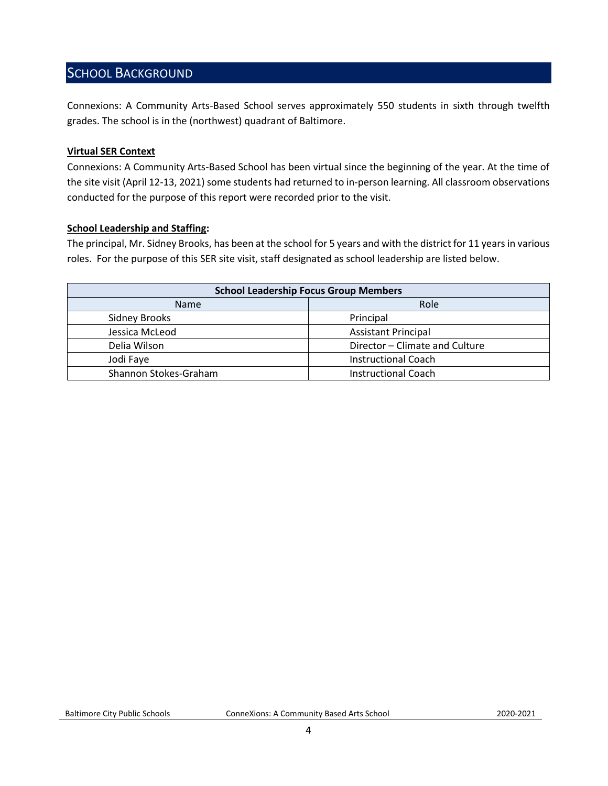### <span id="page-3-0"></span>SCHOOL BACKGROUND

Connexions: A Community Arts-Based School serves approximately 550 students in sixth through twelfth grades. The school is in the (northwest) quadrant of Baltimore.

#### **Virtual SER Context**

Connexions: A Community Arts-Based School has been virtual since the beginning of the year. At the time of the site visit (April 12-13, 2021) some students had returned to in-person learning. All classroom observations conducted for the purpose of this report were recorded prior to the visit.

#### **School Leadership and Staffing:**

The principal, Mr. Sidney Brooks, has been at the school for 5 years and with the district for 11 years in various roles. For the purpose of this SER site visit, staff designated as school leadership are listed below.

<span id="page-3-1"></span>

| <b>School Leadership Focus Group Members</b>   |                            |  |  |
|------------------------------------------------|----------------------------|--|--|
| Role<br><b>Name</b>                            |                            |  |  |
| <b>Sidney Brooks</b>                           | Principal                  |  |  |
| Jessica McLeod<br><b>Assistant Principal</b>   |                            |  |  |
| Director - Climate and Culture<br>Delia Wilson |                            |  |  |
| Jodi Faye                                      | <b>Instructional Coach</b> |  |  |
| Shannon Stokes-Graham                          | <b>Instructional Coach</b> |  |  |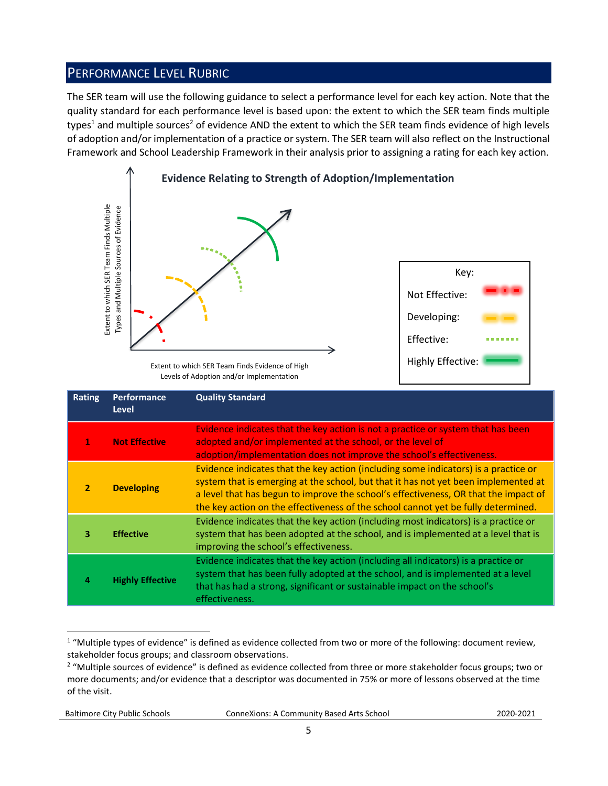# PERFORMANCE LEVEL RUBRIC

The SER team will use the following guidance to select a performance level for each key action. Note that the quality standard for each performance level is based upon: the extent to which the SER team finds multiple types<sup>1</sup> and multiple sources<sup>2</sup> of evidence AND the extent to which the SER team finds evidence of high levels of adoption and/or implementation of a practice or system. The SER team will also reflect on the Instructional Framework and School Leadership Framework in their analysis prior to assigning a rating for each key action.



Levels of Adoption and/or Implementation

|                | Extent to which SER Team Finds Multiple<br>Types and Multiple Sources of Evidence                                                                                                                                                             | Extent to which SER Team Finds Evidence of High<br>Levels of Adoption and/or Implementation                                                                                                                                                                                                                                                                                                                                                    | Key:<br>Not Effective:<br>Developing:<br>Effective:<br><b>Highly Effective:</b> |  |
|----------------|-----------------------------------------------------------------------------------------------------------------------------------------------------------------------------------------------------------------------------------------------|------------------------------------------------------------------------------------------------------------------------------------------------------------------------------------------------------------------------------------------------------------------------------------------------------------------------------------------------------------------------------------------------------------------------------------------------|---------------------------------------------------------------------------------|--|
| <b>Rating</b>  | Performance<br><b>Level</b>                                                                                                                                                                                                                   | <b>Quality Standard</b>                                                                                                                                                                                                                                                                                                                                                                                                                        |                                                                                 |  |
| 1              | Evidence indicates that the key action is not a practice or system that has been<br><b>Not Effective</b><br>adopted and/or implemented at the school, or the level of<br>adoption/implementation does not improve the school's effectiveness. |                                                                                                                                                                                                                                                                                                                                                                                                                                                |                                                                                 |  |
| $\overline{2}$ | <b>Developing</b>                                                                                                                                                                                                                             | Evidence indicates that the key action (including some indicators) is a practice or<br>system that is emerging at the school, but that it has not yet been implemented at<br>a level that has begun to improve the school's effectiveness, OR that the impact of<br>the key action on the effectiveness of the school cannot yet be fully determined.                                                                                          |                                                                                 |  |
| 3              | <b>Effective</b>                                                                                                                                                                                                                              | Evidence indicates that the key action (including most indicators) is a practice or<br>system that has been adopted at the school, and is implemented at a level that is<br>improving the school's effectiveness.                                                                                                                                                                                                                              |                                                                                 |  |
| 4              | <b>Highly Effective</b>                                                                                                                                                                                                                       | Evidence indicates that the key action (including all indicators) is a practice or<br>system that has been fully adopted at the school, and is implemented at a level<br>that has had a strong, significant or sustainable impact on the school's<br>effectiveness.                                                                                                                                                                            |                                                                                 |  |
| of the visit.  |                                                                                                                                                                                                                                               | <sup>1</sup> "Multiple types of evidence" is defined as evidence collected from two or more of the following: document review,<br>stakeholder focus groups; and classroom observations.<br><sup>2</sup> "Multiple sources of evidence" is defined as evidence collected from three or more stakeholder focus groups; two or<br>more documents; and/or evidence that a descriptor was documented in 75% or more of lessons observed at the time |                                                                                 |  |

 $1$  "Multiple types of evidence" is defined as evidence collected from two or more of the following: document review, stakeholder focus groups; and classroom observations.

Baltimore City Public Schools ConneXions: A Community Based Arts School2020-2021

<sup>&</sup>lt;sup>2</sup> "Multiple sources of evidence" is defined as evidence collected from three or more stakeholder focus groups; two or more documents; and/or evidence that a descriptor was documented in 75% or more of lessons observed at the time of the visit.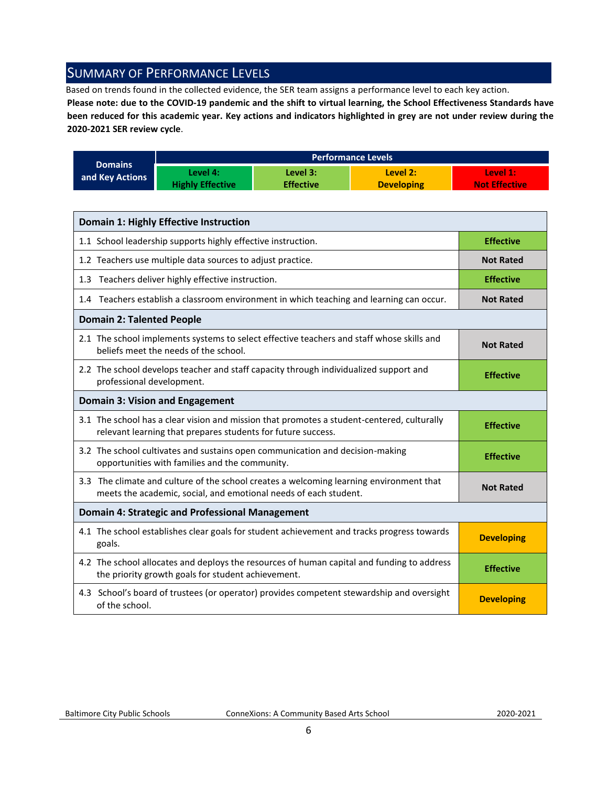# <span id="page-5-0"></span>SUMMARY OF PERFORMANCE LEVELS

Based on trends found in the collected evidence, the SER team assigns a performance level to each key action.

**Please note: due to the COVID-19 pandemic and the shift to virtual learning, the School Effectiveness Standards have been reduced for this academic year. Key actions and indicators highlighted in grey are not under review during the 2020-2021 SER review cycle**.

|                 | <b>Performance Levels</b> |                  |                   |                      |
|-----------------|---------------------------|------------------|-------------------|----------------------|
| <b>Domains</b>  | Level 4:                  | Level 3:         | Level 2:          | Level 1:             |
| and Key Actions | <b>Highly Effective</b>   | <b>Effective</b> | <b>Developing</b> | <b>Not Effective</b> |

| <b>Domain 1: Highly Effective Instruction</b>                                                                                                               |                   |
|-------------------------------------------------------------------------------------------------------------------------------------------------------------|-------------------|
| 1.1 School leadership supports highly effective instruction.                                                                                                | <b>Effective</b>  |
| 1.2 Teachers use multiple data sources to adjust practice.                                                                                                  | <b>Not Rated</b>  |
| 1.3 Teachers deliver highly effective instruction.                                                                                                          | <b>Effective</b>  |
| 1.4 Teachers establish a classroom environment in which teaching and learning can occur.                                                                    | <b>Not Rated</b>  |
| <b>Domain 2: Talented People</b>                                                                                                                            |                   |
| 2.1 The school implements systems to select effective teachers and staff whose skills and<br>beliefs meet the needs of the school.                          | <b>Not Rated</b>  |
| 2.2 The school develops teacher and staff capacity through individualized support and<br>professional development.                                          | <b>Effective</b>  |
| <b>Domain 3: Vision and Engagement</b>                                                                                                                      |                   |
| 3.1 The school has a clear vision and mission that promotes a student-centered, culturally<br>relevant learning that prepares students for future success.  | <b>Effective</b>  |
| 3.2 The school cultivates and sustains open communication and decision-making<br>opportunities with families and the community.                             | <b>Effective</b>  |
| 3.3 The climate and culture of the school creates a welcoming learning environment that<br>meets the academic, social, and emotional needs of each student. | <b>Not Rated</b>  |
| <b>Domain 4: Strategic and Professional Management</b>                                                                                                      |                   |
| 4.1 The school establishes clear goals for student achievement and tracks progress towards<br>goals.                                                        | <b>Developing</b> |
| 4.2 The school allocates and deploys the resources of human capital and funding to address<br>the priority growth goals for student achievement.            | <b>Effective</b>  |
| 4.3 School's board of trustees (or operator) provides competent stewardship and oversight<br>of the school.                                                 | <b>Developing</b> |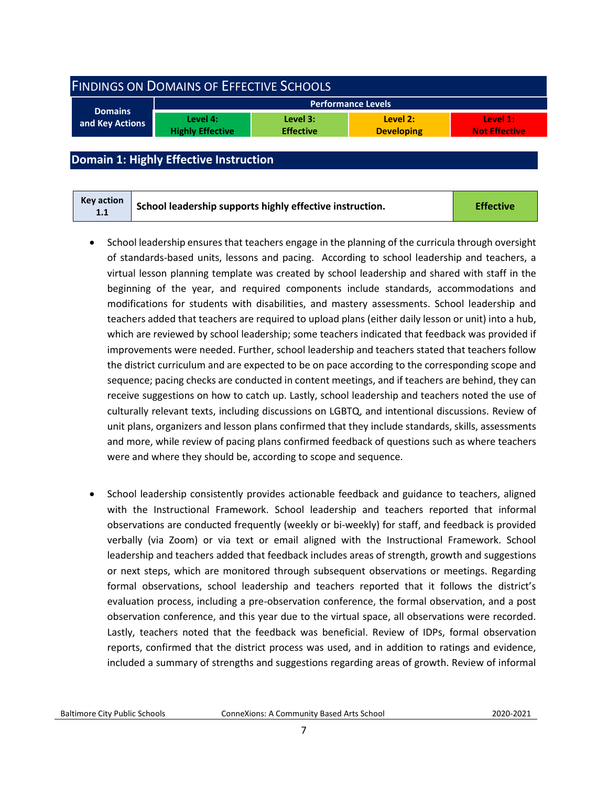<span id="page-6-0"></span>

| <b>FINDINGS ON DOMAINS OF EFFECTIVE SCHOOLS</b> |                                     |                              |                               |                                  |
|-------------------------------------------------|-------------------------------------|------------------------------|-------------------------------|----------------------------------|
| <b>Performance Levels</b>                       |                                     |                              |                               |                                  |
| <b>Domains</b><br>and Key Actions               | Level 4:<br><b>Highly Effective</b> | Level 3:<br><b>Effective</b> | Level 2:<br><b>Developing</b> | Level 1:<br><b>Not Effective</b> |
|                                                 |                                     |                              |                               |                                  |

#### <span id="page-6-1"></span>**Domain 1: Highly Effective Instruction**

- School leadership ensures that teachers engage in the planning of the curricula through oversight of standards-based units, lessons and pacing. According to school leadership and teachers, a virtual lesson planning template was created by school leadership and shared with staff in the beginning of the year, and required components include standards, accommodations and modifications for students with disabilities, and mastery assessments. School leadership and teachers added that teachers are required to upload plans (either daily lesson or unit) into a hub, which are reviewed by school leadership; some teachers indicated that feedback was provided if improvements were needed. Further, school leadership and teachers stated that teachers follow the district curriculum and are expected to be on pace according to the corresponding scope and sequence; pacing checks are conducted in content meetings, and if teachers are behind, they can receive suggestions on how to catch up. Lastly, school leadership and teachers noted the use of culturally relevant texts, including discussions on LGBTQ, and intentional discussions. Review of unit plans, organizers and lesson plans confirmed that they include standards, skills, assessments and more, while review of pacing plans confirmed feedback of questions such as where teachers were and where they should be, according to scope and sequence.
- School leadership consistently provides actionable feedback and guidance to teachers, aligned with the Instructional Framework. School leadership and teachers reported that informal observations are conducted frequently (weekly or bi-weekly) for staff, and feedback is provided verbally (via Zoom) or via text or email aligned with the Instructional Framework. School leadership and teachers added that feedback includes areas of strength, growth and suggestions or next steps, which are monitored through subsequent observations or meetings. Regarding formal observations, school leadership and teachers reported that it follows the district's evaluation process, including a pre-observation conference, the formal observation, and a post observation conference, and this year due to the virtual space, all observations were recorded. Lastly, teachers noted that the feedback was beneficial. Review of IDPs, formal observation reports, confirmed that the district process was used, and in addition to ratings and evidence, included a summary of strengths and suggestions regarding areas of growth. Review of informal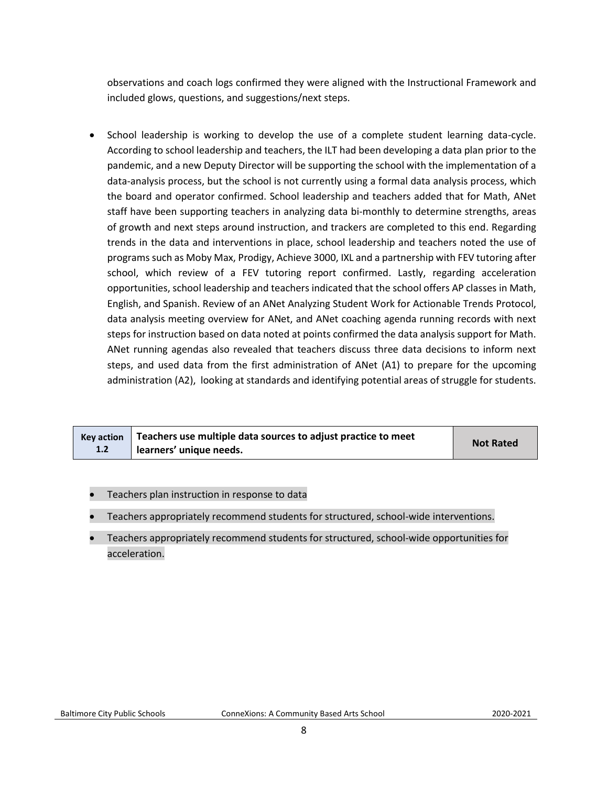observations and coach logs confirmed they were aligned with the Instructional Framework and included glows, questions, and suggestions/next steps.

• School leadership is working to develop the use of a complete student learning data-cycle. According to school leadership and teachers, the ILT had been developing a data plan prior to the pandemic, and a new Deputy Director will be supporting the school with the implementation of a data-analysis process, but the school is not currently using a formal data analysis process, which the board and operator confirmed. School leadership and teachers added that for Math, ANet staff have been supporting teachers in analyzing data bi-monthly to determine strengths, areas of growth and next steps around instruction, and trackers are completed to this end. Regarding trends in the data and interventions in place, school leadership and teachers noted the use of programs such as Moby Max, Prodigy, Achieve 3000, IXL and a partnership with FEV tutoring after school, which review of a FEV tutoring report confirmed. Lastly, regarding acceleration opportunities, school leadership and teachers indicated that the school offers AP classes in Math, English, and Spanish. Review of an ANet Analyzing Student Work for Actionable Trends Protocol, data analysis meeting overview for ANet, and ANet coaching agenda running records with next steps for instruction based on data noted at points confirmed the data analysis support for Math. ANet running agendas also revealed that teachers discuss three data decisions to inform next steps, and used data from the first administration of ANet (A1) to prepare for the upcoming administration (A2), looking at standards and identifying potential areas of struggle for students.

|     | $Key$ action $\parallel$ Teachers use multiple data sources to adjust practice to meet | <b>Not Rated</b> |
|-----|----------------------------------------------------------------------------------------|------------------|
| 1.2 | learners' unique needs.                                                                |                  |

- Teachers plan instruction in response to data
- Teachers appropriately recommend students for structured, school-wide interventions.
- Teachers appropriately recommend students for structured, school-wide opportunities for acceleration.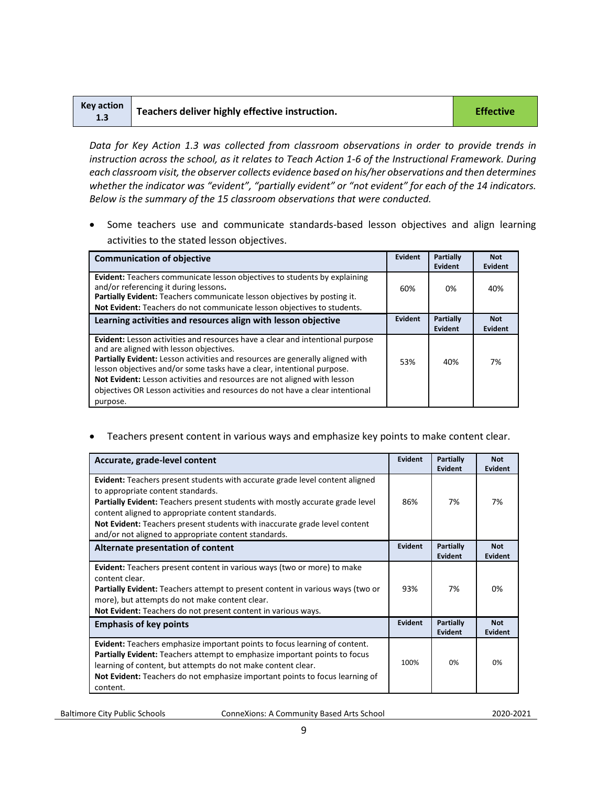| <b>Key action</b><br>1.3 | Teachers deliver highly effective instruction. | <b>Effective</b> |
|--------------------------|------------------------------------------------|------------------|
|--------------------------|------------------------------------------------|------------------|

*Data for Key Action 1.3 was collected from classroom observations in order to provide trends in instruction across the school, as it relates to Teach Action 1-6 of the Instructional Framework. During each classroom visit, the observer collects evidence based on his/her observations and then determines*  whether the indicator was "evident", "partially evident" or "not evident" for each of the 14 *indicators*. *Below is the summary of the 15 classroom observations that were conducted.* 

• Some teachers use and communicate standards-based lesson objectives and align learning activities to the stated lesson objectives.

| <b>Communication of objective</b>                                                                                                                                                                                                                                                                                                                                                                                                                            | Evident | Partially<br>Evident        | <b>Not</b><br>Evident |
|--------------------------------------------------------------------------------------------------------------------------------------------------------------------------------------------------------------------------------------------------------------------------------------------------------------------------------------------------------------------------------------------------------------------------------------------------------------|---------|-----------------------------|-----------------------|
| <b>Evident:</b> Teachers communicate lesson objectives to students by explaining<br>and/or referencing it during lessons.<br>Partially Evident: Teachers communicate lesson objectives by posting it.<br>Not Evident: Teachers do not communicate lesson objectives to students.                                                                                                                                                                             | 60%     | 0%                          | 40%                   |
| Learning activities and resources align with lesson objective                                                                                                                                                                                                                                                                                                                                                                                                | Evident | <b>Partially</b><br>Evident | <b>Not</b><br>Evident |
| Evident: Lesson activities and resources have a clear and intentional purpose<br>and are aligned with lesson objectives.<br>Partially Evident: Lesson activities and resources are generally aligned with<br>lesson objectives and/or some tasks have a clear, intentional purpose.<br>Not Evident: Lesson activities and resources are not aligned with lesson<br>objectives OR Lesson activities and resources do not have a clear intentional<br>purpose. | 53%     | 40%                         | 7%                    |

• Teachers present content in various ways and emphasize key points to make content clear.

| Accurate, grade-level content                                                                                                                                                                                                                                                                                               | Evident        | <b>Partially</b><br><b>Evident</b> | <b>Not</b><br>Evident |
|-----------------------------------------------------------------------------------------------------------------------------------------------------------------------------------------------------------------------------------------------------------------------------------------------------------------------------|----------------|------------------------------------|-----------------------|
| Evident: Teachers present students with accurate grade level content aligned<br>to appropriate content standards.<br><b>Partially Evident:</b> Teachers present students with mostly accurate grade level                                                                                                                   | 86%            | 7%                                 | 7%                    |
| content aligned to appropriate content standards.                                                                                                                                                                                                                                                                           |                |                                    |                       |
| Not Evident: Teachers present students with inaccurate grade level content<br>and/or not aligned to appropriate content standards.                                                                                                                                                                                          |                |                                    |                       |
| Alternate presentation of content                                                                                                                                                                                                                                                                                           | <b>Evident</b> | <b>Partially</b><br>Evident        | <b>Not</b><br>Evident |
| <b>Evident:</b> Teachers present content in various ways (two or more) to make<br>content clear.<br><b>Partially Evident:</b> Teachers attempt to present content in various ways (two or<br>more), but attempts do not make content clear.<br>Not Evident: Teachers do not present content in various ways.                | 93%            | 7%                                 | በ%                    |
| <b>Emphasis of key points</b>                                                                                                                                                                                                                                                                                               | Evident        | <b>Partially</b><br>Evident        | <b>Not</b><br>Evident |
| Evident: Teachers emphasize important points to focus learning of content.<br><b>Partially Evident:</b> Teachers attempt to emphasize important points to focus<br>learning of content, but attempts do not make content clear.<br>Not Evident: Teachers do not emphasize important points to focus learning of<br>content. | 100%           | 0%                                 | 0%                    |

Baltimore City Public Schools ConneXions: A Community Based Arts School2020-2021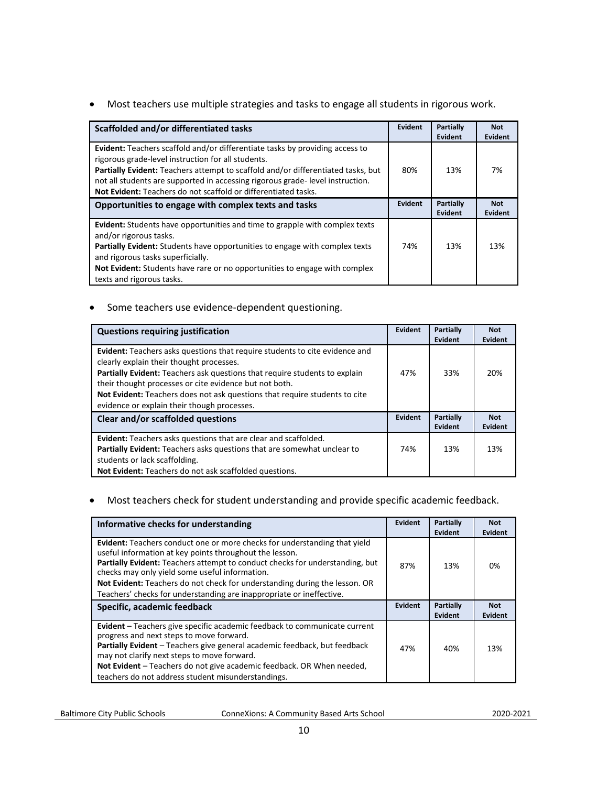• Most teachers use multiple strategies and tasks to engage all students in rigorous work.

| Scaffolded and/or differentiated tasks                                                                                                                                                                                                                                                                                                                                                  | Evident        | Partially<br>Evident | <b>Not</b><br>Evident |
|-----------------------------------------------------------------------------------------------------------------------------------------------------------------------------------------------------------------------------------------------------------------------------------------------------------------------------------------------------------------------------------------|----------------|----------------------|-----------------------|
| <b>Evident:</b> Teachers scaffold and/or differentiate tasks by providing access to<br>rigorous grade-level instruction for all students.<br>Partially Evident: Teachers attempt to scaffold and/or differentiated tasks, but<br>not all students are supported in accessing rigorous grade-level instruction.<br><b>Not Evident:</b> Teachers do not scaffold or differentiated tasks. | 80%            | 13%                  | 7%                    |
| Opportunities to engage with complex texts and tasks                                                                                                                                                                                                                                                                                                                                    | <b>Evident</b> | Partially<br>Evident | <b>Not</b><br>Evident |
| Evident: Students have opportunities and time to grapple with complex texts<br>and/or rigorous tasks.<br><b>Partially Evident:</b> Students have opportunities to engage with complex texts<br>and rigorous tasks superficially.<br><b>Not Evident:</b> Students have rare or no opportunities to engage with complex<br>texts and rigorous tasks.                                      | 74%            | 13%                  | 13%                   |

• Some teachers use evidence-dependent questioning.

| <b>Questions requiring justification</b>                                                                                                                                                                                                                                                                                                                                                     | Evident | Partially<br>Evident | <b>Not</b><br><b>Evident</b> |
|----------------------------------------------------------------------------------------------------------------------------------------------------------------------------------------------------------------------------------------------------------------------------------------------------------------------------------------------------------------------------------------------|---------|----------------------|------------------------------|
| Evident: Teachers asks questions that require students to cite evidence and<br>clearly explain their thought processes.<br>Partially Evident: Teachers ask questions that require students to explain<br>their thought processes or cite evidence but not both.<br>Not Evident: Teachers does not ask questions that require students to cite<br>evidence or explain their though processes. | 47%     | 33%                  | 20%                          |
| Clear and/or scaffolded questions                                                                                                                                                                                                                                                                                                                                                            | Evident | Partially<br>Evident | <b>Not</b><br><b>Evident</b> |
| <b>Evident:</b> Teachers asks questions that are clear and scaffolded.<br>Partially Evident: Teachers asks questions that are somewhat unclear to<br>students or lack scaffolding.<br>Not Evident: Teachers do not ask scaffolded questions.                                                                                                                                                 | 74%     | 13%                  | 13%                          |

#### • Most teachers check for student understanding and provide specific academic feedback.

| Informative checks for understanding                                                                                                                                                                                                                                                                                                                                                                                                       | Evident | Partially<br>Evident | <b>Not</b><br><b>Evident</b> |
|--------------------------------------------------------------------------------------------------------------------------------------------------------------------------------------------------------------------------------------------------------------------------------------------------------------------------------------------------------------------------------------------------------------------------------------------|---------|----------------------|------------------------------|
| <b>Evident:</b> Teachers conduct one or more checks for understanding that yield<br>useful information at key points throughout the lesson.<br><b>Partially Evident:</b> Teachers attempt to conduct checks for understanding, but<br>checks may only yield some useful information.<br>Not Evident: Teachers do not check for understanding during the lesson. OR<br>Teachers' checks for understanding are inappropriate or ineffective. |         | 13%                  | 0%                           |
| Specific, academic feedback                                                                                                                                                                                                                                                                                                                                                                                                                | Evident | Partially<br>Evident | <b>Not</b><br><b>Evident</b> |
| Evident - Teachers give specific academic feedback to communicate current<br>progress and next steps to move forward.<br>Partially Evident - Teachers give general academic feedback, but feedback<br>may not clarify next steps to move forward.<br>Not Evident - Teachers do not give academic feedback. OR When needed,                                                                                                                 | 47%     | 40%                  | 13%                          |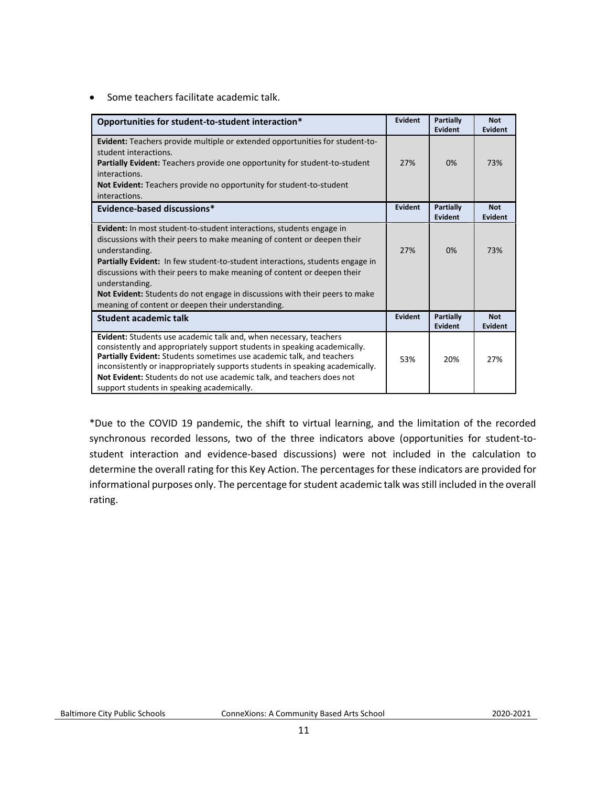• Some teachers facilitate academic talk.

| Opportunities for student-to-student interaction*                                                                                                                                                                                                                                                                                                                                                                                                                                                        | <b>Evident</b> | <b>Partially</b><br>Evident | <b>Not</b><br>Evident        |
|----------------------------------------------------------------------------------------------------------------------------------------------------------------------------------------------------------------------------------------------------------------------------------------------------------------------------------------------------------------------------------------------------------------------------------------------------------------------------------------------------------|----------------|-----------------------------|------------------------------|
| Evident: Teachers provide multiple or extended opportunities for student-to-<br>student interactions.<br><b>Partially Evident:</b> Teachers provide one opportunity for student-to-student<br>interactions.<br>Not Evident: Teachers provide no opportunity for student-to-student<br>interactions.                                                                                                                                                                                                      | 27%            | 0%                          | 73%                          |
| Evidence-based discussions*                                                                                                                                                                                                                                                                                                                                                                                                                                                                              | Evident        | Partially<br><b>Evident</b> | <b>Not</b><br><b>Evident</b> |
| <b>Evident:</b> In most student-to-student interactions, students engage in<br>discussions with their peers to make meaning of content or deepen their<br>understanding.<br><b>Partially Evident:</b> In few student-to-student interactions, students engage in<br>discussions with their peers to make meaning of content or deepen their<br>understanding.<br><b>Not Evident:</b> Students do not engage in discussions with their peers to make<br>meaning of content or deepen their understanding. | 27%            | 0%                          | 73%                          |
| Student academic talk                                                                                                                                                                                                                                                                                                                                                                                                                                                                                    | <b>Evident</b> | Partially<br>Evident        | <b>Not</b><br><b>Evident</b> |
| Evident: Students use academic talk and, when necessary, teachers<br>consistently and appropriately support students in speaking academically.<br>Partially Evident: Students sometimes use academic talk, and teachers<br>inconsistently or inappropriately supports students in speaking academically.<br>Not Evident: Students do not use academic talk, and teachers does not<br>support students in speaking academically.                                                                          | 53%            | 20%                         | 27%                          |

\*Due to the COVID 19 pandemic, the shift to virtual learning, and the limitation of the recorded synchronous recorded lessons, two of the three indicators above (opportunities for student-tostudent interaction and evidence-based discussions) were not included in the calculation to determine the overall rating for this Key Action. The percentages for these indicators are provided for informational purposes only. The percentage for student academic talk was still included in the overall rating.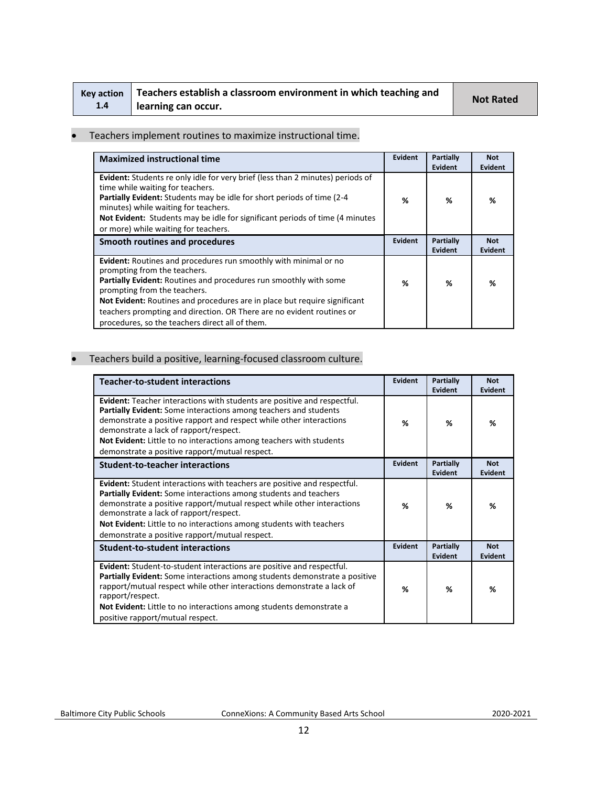| <b>Kev action</b> | Teachers establish a classroom environment in which teaching and | <b>Not Rated</b> |
|-------------------|------------------------------------------------------------------|------------------|
| 1.4               | learning can occur.                                              |                  |

#### • Teachers implement routines to maximize instructional time.

| <b>Maximized instructional time</b>                                                                                                                                                                                                                                                                                                                                                                            | <b>Evident</b> | Partially<br><b>Evident</b> | <b>Not</b><br>Evident |
|----------------------------------------------------------------------------------------------------------------------------------------------------------------------------------------------------------------------------------------------------------------------------------------------------------------------------------------------------------------------------------------------------------------|----------------|-----------------------------|-----------------------|
| <b>Evident:</b> Students re only idle for very brief (less than 2 minutes) periods of<br>time while waiting for teachers.<br>Partially Evident: Students may be idle for short periods of time (2-4<br>minutes) while waiting for teachers.<br>Not Evident: Students may be idle for significant periods of time (4 minutes)<br>or more) while waiting for teachers.                                           | %              | %                           | %                     |
| Smooth routines and procedures                                                                                                                                                                                                                                                                                                                                                                                 |                | Partially<br><b>Evident</b> | <b>Not</b><br>Evident |
| Evident: Routines and procedures run smoothly with minimal or no<br>prompting from the teachers.<br>Partially Evident: Routines and procedures run smoothly with some<br>prompting from the teachers.<br>Not Evident: Routines and procedures are in place but require significant<br>teachers prompting and direction. OR There are no evident routines or<br>procedures, so the teachers direct all of them. | %              | %                           | %                     |

#### • Teachers build a positive, learning-focused classroom culture.

| <b>Teacher-to-student interactions</b>                                                                                                                                                                                                                                                                                                                                                           | Evident        | <b>Partially</b><br>Evident | <b>Not</b><br><b>Evident</b> |
|--------------------------------------------------------------------------------------------------------------------------------------------------------------------------------------------------------------------------------------------------------------------------------------------------------------------------------------------------------------------------------------------------|----------------|-----------------------------|------------------------------|
| <b>Evident:</b> Teacher interactions with students are positive and respectful.<br>Partially Evident: Some interactions among teachers and students<br>demonstrate a positive rapport and respect while other interactions<br>demonstrate a lack of rapport/respect.<br>Not Evident: Little to no interactions among teachers with students<br>demonstrate a positive rapport/mutual respect.    |                | ℅                           | %                            |
| <b>Student-to-teacher interactions</b>                                                                                                                                                                                                                                                                                                                                                           | <b>Evident</b> | <b>Partially</b><br>Evident | <b>Not</b><br>Evident        |
| <b>Evident:</b> Student interactions with teachers are positive and respectful.<br>Partially Evident: Some interactions among students and teachers<br>demonstrate a positive rapport/mutual respect while other interactions<br>demonstrate a lack of rapport/respect.<br>Not Evident: Little to no interactions among students with teachers<br>demonstrate a positive rapport/mutual respect. | %              | %                           | %                            |
| <b>Student-to-student interactions</b>                                                                                                                                                                                                                                                                                                                                                           | Evident        | Partially<br>Evident        | <b>Not</b><br><b>Evident</b> |
| <b>Evident:</b> Student-to-student interactions are positive and respectful.<br>Partially Evident: Some interactions among students demonstrate a positive<br>rapport/mutual respect while other interactions demonstrate a lack of<br>rapport/respect.<br>Not Evident: Little to no interactions among students demonstrate a<br>positive rapport/mutual respect.                               | %              | %                           | %                            |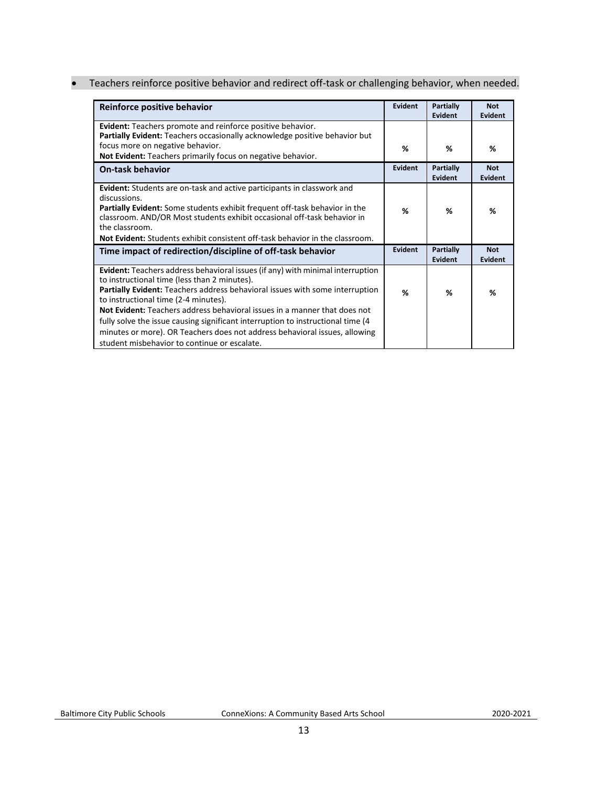• Teachers reinforce positive behavior and redirect off-task or challenging behavior, when needed.

| Reinforce positive behavior                                                                                                                                                                                                                                                                                                                                                                                                                                                                                                                                         |         | Partially<br>Evident | <b>Not</b><br>Evident |
|---------------------------------------------------------------------------------------------------------------------------------------------------------------------------------------------------------------------------------------------------------------------------------------------------------------------------------------------------------------------------------------------------------------------------------------------------------------------------------------------------------------------------------------------------------------------|---------|----------------------|-----------------------|
| <b>Evident:</b> Teachers promote and reinforce positive behavior.<br>Partially Evident: Teachers occasionally acknowledge positive behavior but                                                                                                                                                                                                                                                                                                                                                                                                                     |         |                      |                       |
| focus more on negative behavior.<br>Not Evident: Teachers primarily focus on negative behavior.                                                                                                                                                                                                                                                                                                                                                                                                                                                                     | %       | %                    | ℅                     |
| <b>On-task behavior</b>                                                                                                                                                                                                                                                                                                                                                                                                                                                                                                                                             | Evident | Partially<br>Evident | <b>Not</b><br>Evident |
| <b>Evident:</b> Students are on-task and active participants in classwork and<br>discussions.<br><b>Partially Evident:</b> Some students exhibit frequent off-task behavior in the<br>classroom. AND/OR Most students exhibit occasional off-task behavior in<br>the classroom.<br><b>Not Evident:</b> Students exhibit consistent off-task behavior in the classroom.                                                                                                                                                                                              | %       | %                    | ℅                     |
| Time impact of redirection/discipline of off-task behavior                                                                                                                                                                                                                                                                                                                                                                                                                                                                                                          |         | Partially<br>Evident | <b>Not</b><br>Evident |
| <b>Evident:</b> Teachers address behavioral issues (if any) with minimal interruption<br>to instructional time (less than 2 minutes).<br>Partially Evident: Teachers address behavioral issues with some interruption<br>to instructional time (2-4 minutes).<br><b>Not Evident:</b> Teachers address behavioral issues in a manner that does not<br>fully solve the issue causing significant interruption to instructional time (4)<br>minutes or more). OR Teachers does not address behavioral issues, allowing<br>student misbehavior to continue or escalate. | %       | %                    | %                     |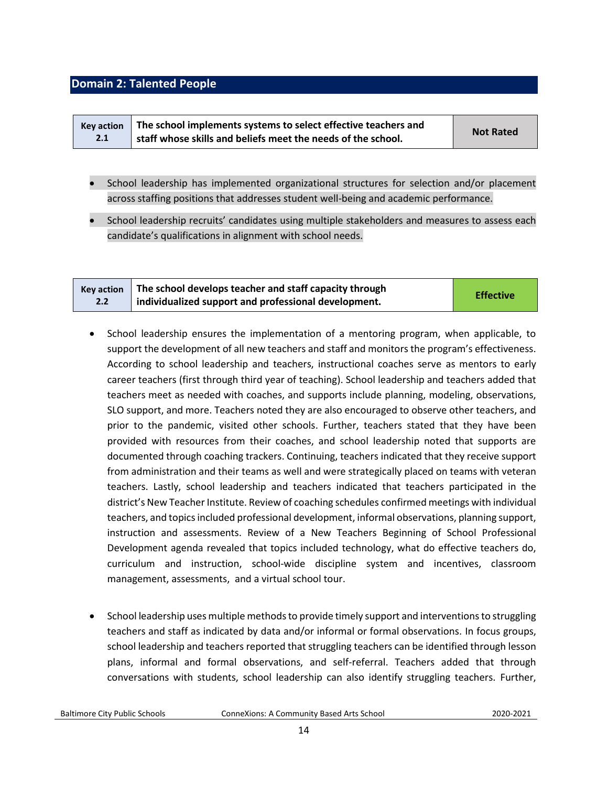#### <span id="page-13-0"></span>**Domain 2: Talented People**

| <b>Kev action</b> | The school implements systems to select effective teachers and | <b>Not Rated</b> |
|-------------------|----------------------------------------------------------------|------------------|
| 2.1               | staff whose skills and beliefs meet the needs of the school.   |                  |

- School leadership has implemented organizational structures for selection and/or placement across staffing positions that addresses student well-being and academic performance.
- School leadership recruits' candidates using multiple stakeholders and measures to assess each candidate's qualifications in alignment with school needs.

| <b>Key action</b> | The school develops teacher and staff capacity through | <b>Effective</b> |
|-------------------|--------------------------------------------------------|------------------|
| 2.2               | individualized support and professional development.   |                  |

- School leadership ensures the implementation of a mentoring program, when applicable, to support the development of all new teachers and staff and monitors the program's effectiveness. According to school leadership and teachers, instructional coaches serve as mentors to early career teachers (first through third year of teaching). School leadership and teachers added that teachers meet as needed with coaches, and supports include planning, modeling, observations, SLO support, and more. Teachers noted they are also encouraged to observe other teachers, and prior to the pandemic, visited other schools. Further, teachers stated that they have been provided with resources from their coaches, and school leadership noted that supports are documented through coaching trackers. Continuing, teachers indicated that they receive support from administration and their teams as well and were strategically placed on teams with veteran teachers. Lastly, school leadership and teachers indicated that teachers participated in the district's New Teacher Institute. Review of coaching schedules confirmed meetings with individual teachers, and topics included professional development, informal observations, planning support, instruction and assessments. Review of a New Teachers Beginning of School Professional Development agenda revealed that topics included technology, what do effective teachers do, curriculum and instruction, school-wide discipline system and incentives, classroom management, assessments, and a virtual school tour.
- School leadership uses multiple methods to provide timely support and interventions to struggling teachers and staff as indicated by data and/or informal or formal observations. In focus groups, school leadership and teachers reported that struggling teachers can be identified through lesson plans, informal and formal observations, and self-referral. Teachers added that through conversations with students, school leadership can also identify struggling teachers. Further,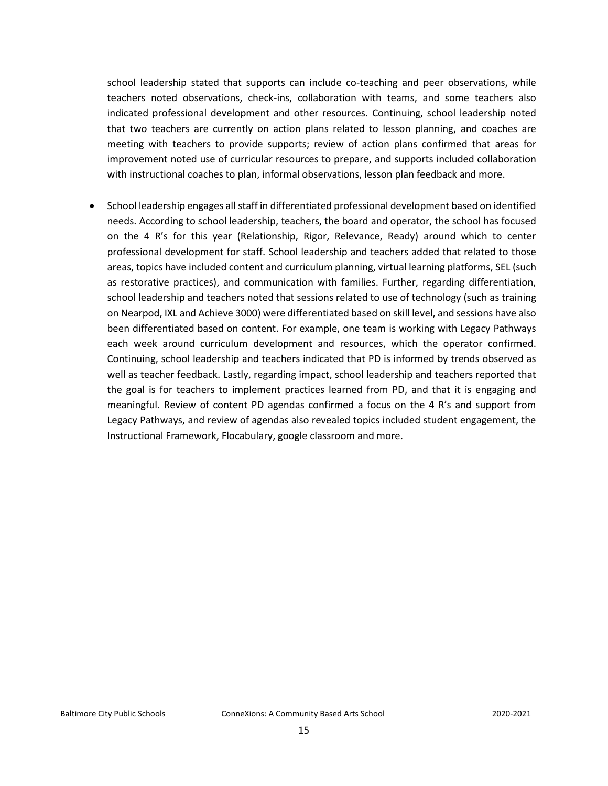school leadership stated that supports can include co-teaching and peer observations, while teachers noted observations, check-ins, collaboration with teams, and some teachers also indicated professional development and other resources. Continuing, school leadership noted that two teachers are currently on action plans related to lesson planning, and coaches are meeting with teachers to provide supports; review of action plans confirmed that areas for improvement noted use of curricular resources to prepare, and supports included collaboration with instructional coaches to plan, informal observations, lesson plan feedback and more.

• School leadership engages all staff in differentiated professional development based on identified needs. According to school leadership, teachers, the board and operator, the school has focused on the 4 R's for this year (Relationship, Rigor, Relevance, Ready) around which to center professional development for staff. School leadership and teachers added that related to those areas, topics have included content and curriculum planning, virtual learning platforms, SEL (such as restorative practices), and communication with families. Further, regarding differentiation, school leadership and teachers noted that sessions related to use of technology (such as training on Nearpod, IXL and Achieve 3000) were differentiated based on skill level, and sessions have also been differentiated based on content. For example, one team is working with Legacy Pathways each week around curriculum development and resources, which the operator confirmed. Continuing, school leadership and teachers indicated that PD is informed by trends observed as well as teacher feedback. Lastly, regarding impact, school leadership and teachers reported that the goal is for teachers to implement practices learned from PD, and that it is engaging and meaningful. Review of content PD agendas confirmed a focus on the 4 R's and support from Legacy Pathways, and review of agendas also revealed topics included student engagement, the Instructional Framework, Flocabulary, google classroom and more.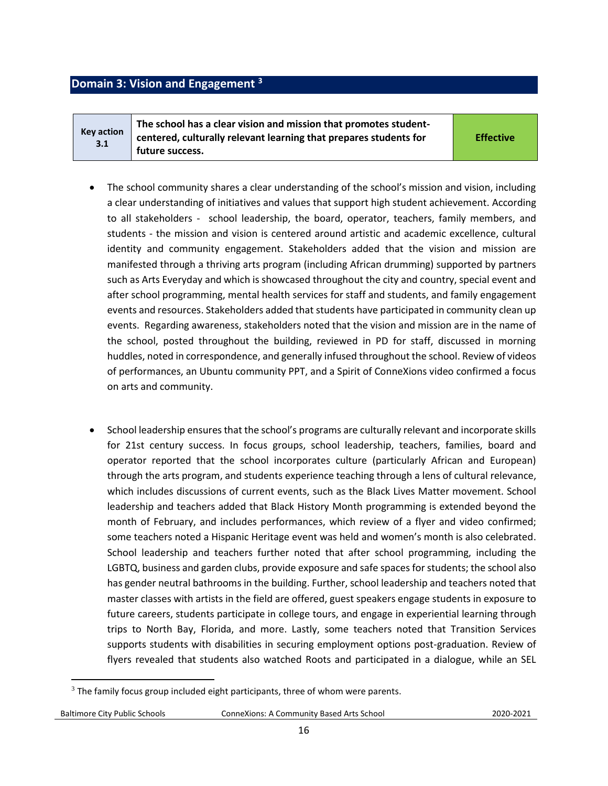#### <span id="page-15-0"></span>**Domain 3: Vision and Engagement <sup>3</sup>**

**Key action 3.1 The school has a clear vision and mission that promotes studentcentered, culturally relevant learning that prepares students for future success.** 

**Effective**

- The school community shares a clear understanding of the school's mission and vision, including a clear understanding of initiatives and values that support high student achievement. According to all stakeholders - school leadership, the board, operator, teachers, family members, and students - the mission and vision is centered around artistic and academic excellence, cultural identity and community engagement. Stakeholders added that the vision and mission are manifested through a thriving arts program (including African drumming) supported by partners such as Arts Everyday and which is showcased throughout the city and country, special event and after school programming, mental health services for staff and students, and family engagement events and resources. Stakeholders added that students have participated in community clean up events. Regarding awareness, stakeholders noted that the vision and mission are in the name of the school, posted throughout the building, reviewed in PD for staff, discussed in morning huddles, noted in correspondence, and generally infused throughout the school. Review of videos of performances, an Ubuntu community PPT, and a Spirit of ConneXions video confirmed a focus on arts and community.
- School leadership ensures that the school's programs are culturally relevant and incorporate skills for 21st century success. In focus groups, school leadership, teachers, families, board and operator reported that the school incorporates culture (particularly African and European) through the arts program, and students experience teaching through a lens of cultural relevance, which includes discussions of current events, such as the Black Lives Matter movement. School leadership and teachers added that Black History Month programming is extended beyond the month of February, and includes performances, which review of a flyer and video confirmed; some teachers noted a Hispanic Heritage event was held and women's month is also celebrated. School leadership and teachers further noted that after school programming, including the LGBTQ, business and garden clubs, provide exposure and safe spaces for students; the school also has gender neutral bathrooms in the building. Further, school leadership and teachers noted that master classes with artists in the field are offered, guest speakers engage students in exposure to future careers, students participate in college tours, and engage in experiential learning through trips to North Bay, Florida, and more. Lastly, some teachers noted that Transition Services supports students with disabilities in securing employment options post-graduation. Review of flyers revealed that students also watched Roots and participated in a dialogue, while an SEL

 $\overline{\phantom{a}}$ 

 $3$  The family focus group included eight participants, three of whom were parents.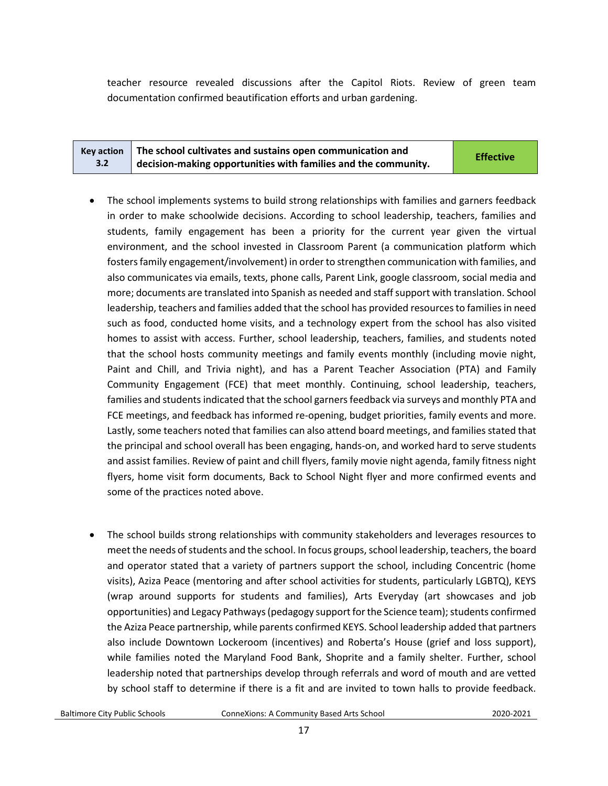teacher resource revealed discussions after the Capitol Riots. Review of green team documentation confirmed beautification efforts and urban gardening.

|     | Key action $\parallel$ The school cultivates and sustains open communication and | <b>Effective</b> |
|-----|----------------------------------------------------------------------------------|------------------|
| 3.2 | decision-making opportunities with families and the community.                   |                  |

- The school implements systems to build strong relationships with families and garners feedback in order to make schoolwide decisions. According to school leadership, teachers, families and students, family engagement has been a priority for the current year given the virtual environment, and the school invested in Classroom Parent (a communication platform which fosters family engagement/involvement) in order to strengthen communication with families, and also communicates via emails, texts, phone calls, Parent Link, google classroom, social media and more; documents are translated into Spanish as needed and staff support with translation. School leadership, teachers and families added that the school has provided resources to families in need such as food, conducted home visits, and a technology expert from the school has also visited homes to assist with access. Further, school leadership, teachers, families, and students noted that the school hosts community meetings and family events monthly (including movie night, Paint and Chill, and Trivia night), and has a Parent Teacher Association (PTA) and Family Community Engagement (FCE) that meet monthly. Continuing, school leadership, teachers, families and students indicated that the school garners feedback via surveys and monthly PTA and FCE meetings, and feedback has informed re-opening, budget priorities, family events and more. Lastly, some teachers noted that families can also attend board meetings, and families stated that the principal and school overall has been engaging, hands-on, and worked hard to serve students and assist families. Review of paint and chill flyers, family movie night agenda, family fitness night flyers, home visit form documents, Back to School Night flyer and more confirmed events and some of the practices noted above.
- The school builds strong relationships with community stakeholders and leverages resources to meet the needs of students and the school. In focus groups, school leadership, teachers, the board and operator stated that a variety of partners support the school, including Concentric (home visits), Aziza Peace (mentoring and after school activities for students, particularly LGBTQ), KEYS (wrap around supports for students and families), Arts Everyday (art showcases and job opportunities) and Legacy Pathways (pedagogy support for the Science team); students confirmed the Aziza Peace partnership, while parents confirmed KEYS. School leadership added that partners also include Downtown Lockeroom (incentives) and Roberta's House (grief and loss support), while families noted the Maryland Food Bank, Shoprite and a family shelter. Further, school leadership noted that partnerships develop through referrals and word of mouth and are vetted by school staff to determine if there is a fit and are invited to town halls to provide feedback.

| <b>Baltimore City Public Schools</b> |  |  |
|--------------------------------------|--|--|
|                                      |  |  |

Baltimore City Public Schools ConneXions: A Community Based Arts School2020-2021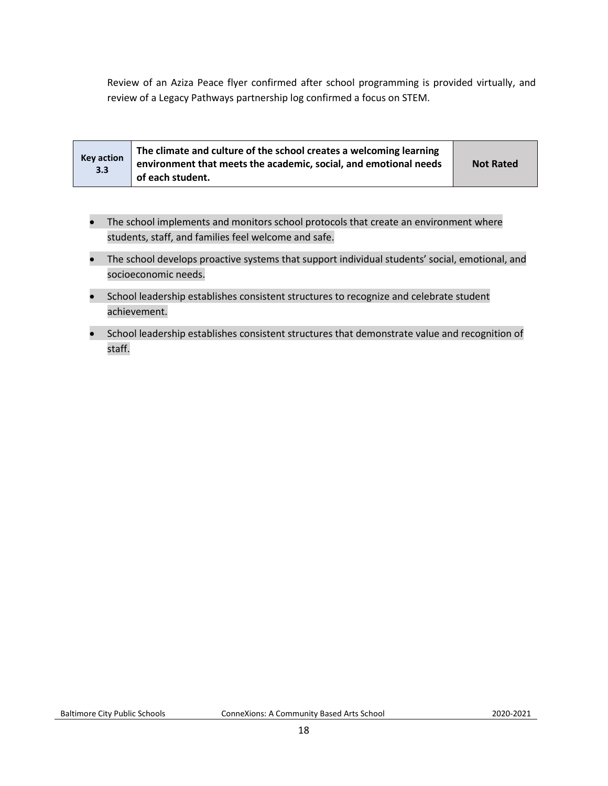Review of an Aziza Peace flyer confirmed after school programming is provided virtually, and review of a Legacy Pathways partnership log confirmed a focus on STEM.

| <b>Key action</b><br>3.3 | The climate and culture of the school creates a welcoming learning<br>environment that meets the academic, social, and emotional needs<br>of each student. | <b>Not Rated</b> |
|--------------------------|------------------------------------------------------------------------------------------------------------------------------------------------------------|------------------|
|--------------------------|------------------------------------------------------------------------------------------------------------------------------------------------------------|------------------|

- The school implements and monitors school protocols that create an environment where students, staff, and families feel welcome and safe.
- The school develops proactive systems that support individual students' social, emotional, and socioeconomic needs.
- School leadership establishes consistent structures to recognize and celebrate student achievement.
- School leadership establishes consistent structures that demonstrate value and recognition of staff.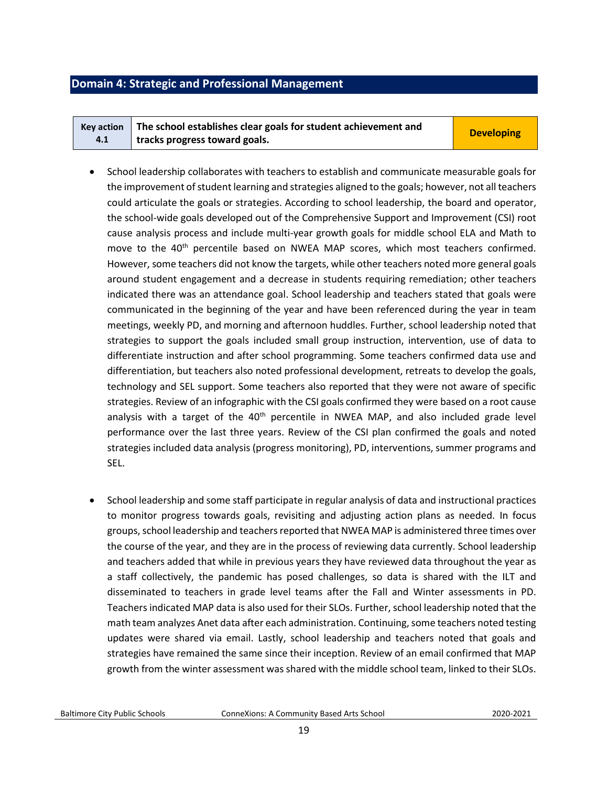#### <span id="page-18-0"></span>**Domain 4: Strategic and Professional Management**

|     | Key action $\parallel$ The school establishes clear goals for student achievement and | <b>Developing</b> |
|-----|---------------------------------------------------------------------------------------|-------------------|
| 4.1 | tracks progress toward goals.                                                         |                   |

- School leadership collaborates with teachers to establish and communicate measurable goals for the improvement of student learning and strategies aligned to the goals; however, not all teachers could articulate the goals or strategies. According to school leadership, the board and operator, the school-wide goals developed out of the Comprehensive Support and Improvement (CSI) root cause analysis process and include multi-year growth goals for middle school ELA and Math to move to the 40<sup>th</sup> percentile based on NWEA MAP scores, which most teachers confirmed. However, some teachers did not know the targets, while other teachers noted more general goals around student engagement and a decrease in students requiring remediation; other teachers indicated there was an attendance goal. School leadership and teachers stated that goals were communicated in the beginning of the year and have been referenced during the year in team meetings, weekly PD, and morning and afternoon huddles. Further, school leadership noted that strategies to support the goals included small group instruction, intervention, use of data to differentiate instruction and after school programming. Some teachers confirmed data use and differentiation, but teachers also noted professional development, retreats to develop the goals, technology and SEL support. Some teachers also reported that they were not aware of specific strategies. Review of an infographic with the CSI goals confirmed they were based on a root cause analysis with a target of the  $40<sup>th</sup>$  percentile in NWEA MAP, and also included grade level performance over the last three years. Review of the CSI plan confirmed the goals and noted strategies included data analysis (progress monitoring), PD, interventions, summer programs and SEL.
- School leadership and some staff participate in regular analysis of data and instructional practices to monitor progress towards goals, revisiting and adjusting action plans as needed. In focus groups, school leadership and teachers reported that NWEA MAP is administered three times over the course of the year, and they are in the process of reviewing data currently. School leadership and teachers added that while in previous years they have reviewed data throughout the year as a staff collectively, the pandemic has posed challenges, so data is shared with the ILT and disseminated to teachers in grade level teams after the Fall and Winter assessments in PD. Teachers indicated MAP data is also used for their SLOs. Further, school leadership noted that the math team analyzes Anet data after each administration. Continuing, some teachers noted testing updates were shared via email. Lastly, school leadership and teachers noted that goals and strategies have remained the same since their inception. Review of an email confirmed that MAP growth from the winter assessment was shared with the middle school team, linked to their SLOs.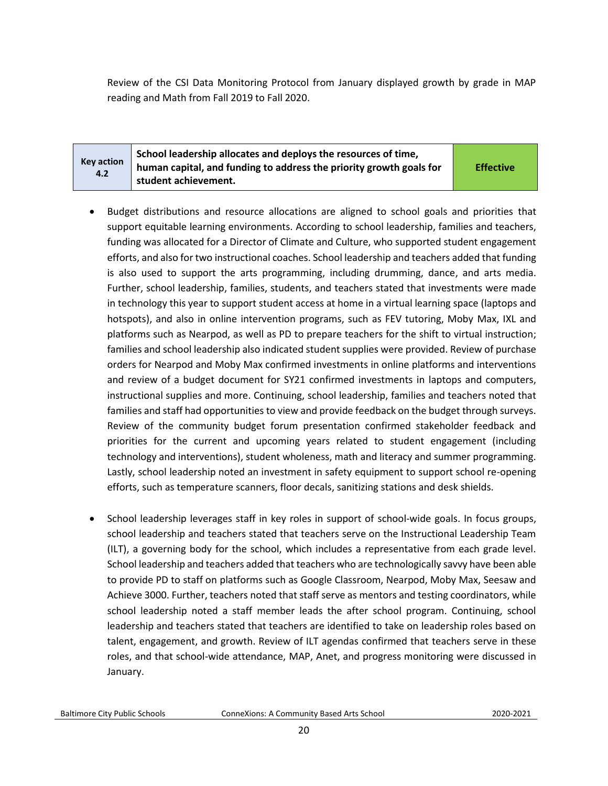Review of the CSI Data Monitoring Protocol from January displayed growth by grade in MAP reading and Math from Fall 2019 to Fall 2020.

| <b>Key action</b><br>4.2 | School leadership allocates and deploys the resources of time,<br>human capital, and funding to address the priority growth goals for<br>student achievement. | <b>Effective</b> |
|--------------------------|---------------------------------------------------------------------------------------------------------------------------------------------------------------|------------------|
|--------------------------|---------------------------------------------------------------------------------------------------------------------------------------------------------------|------------------|

- Budget distributions and resource allocations are aligned to school goals and priorities that support equitable learning environments. According to school leadership, families and teachers, funding was allocated for a Director of Climate and Culture, who supported student engagement efforts, and also for two instructional coaches. School leadership and teachers added that funding is also used to support the arts programming, including drumming, dance, and arts media. Further, school leadership, families, students, and teachers stated that investments were made in technology this year to support student access at home in a virtual learning space (laptops and hotspots), and also in online intervention programs, such as FEV tutoring, Moby Max, IXL and platforms such as Nearpod, as well as PD to prepare teachers for the shift to virtual instruction; families and school leadership also indicated student supplies were provided. Review of purchase orders for Nearpod and Moby Max confirmed investments in online platforms and interventions and review of a budget document for SY21 confirmed investments in laptops and computers, instructional supplies and more. Continuing, school leadership, families and teachers noted that families and staff had opportunities to view and provide feedback on the budget through surveys. Review of the community budget forum presentation confirmed stakeholder feedback and priorities for the current and upcoming years related to student engagement (including technology and interventions), student wholeness, math and literacy and summer programming. Lastly, school leadership noted an investment in safety equipment to support school re-opening efforts, such as temperature scanners, floor decals, sanitizing stations and desk shields.
- School leadership leverages staff in key roles in support of school-wide goals. In focus groups, school leadership and teachers stated that teachers serve on the Instructional Leadership Team (ILT), a governing body for the school, which includes a representative from each grade level. School leadership and teachers added that teachers who are technologically savvy have been able to provide PD to staff on platforms such as Google Classroom, Nearpod, Moby Max, Seesaw and Achieve 3000. Further, teachers noted that staff serve as mentors and testing coordinators, while school leadership noted a staff member leads the after school program. Continuing, school leadership and teachers stated that teachers are identified to take on leadership roles based on talent, engagement, and growth. Review of ILT agendas confirmed that teachers serve in these roles, and that school-wide attendance, MAP, Anet, and progress monitoring were discussed in January.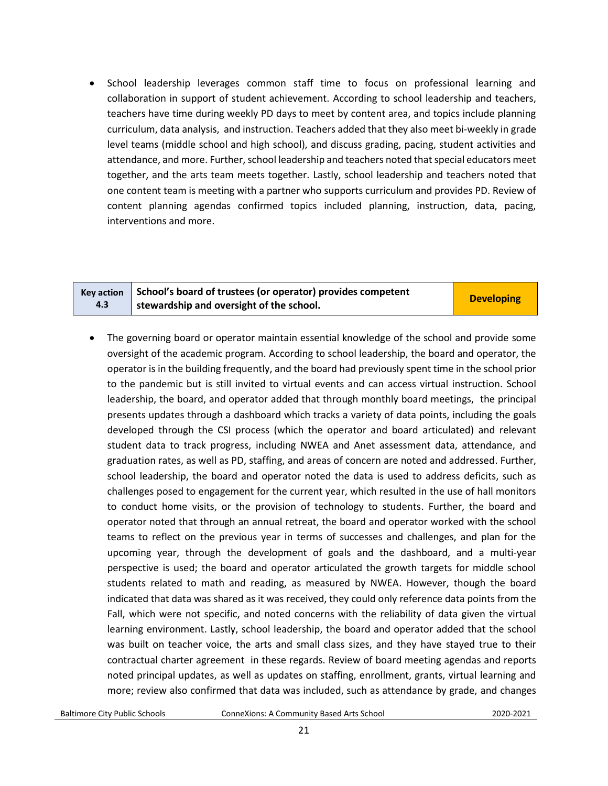• School leadership leverages common staff time to focus on professional learning and collaboration in support of student achievement. According to school leadership and teachers, teachers have time during weekly PD days to meet by content area, and topics include planning curriculum, data analysis, and instruction. Teachers added that they also meet bi-weekly in grade level teams (middle school and high school), and discuss grading, pacing, student activities and attendance, and more. Further, school leadership and teachers noted that special educators meet together, and the arts team meets together. Lastly, school leadership and teachers noted that one content team is meeting with a partner who supports curriculum and provides PD. Review of content planning agendas confirmed topics included planning, instruction, data, pacing, interventions and more.

• The governing board or operator maintain essential knowledge of the school and provide some oversight of the academic program. According to school leadership, the board and operator, the operator is in the building frequently, and the board had previously spent time in the school prior to the pandemic but is still invited to virtual events and can access virtual instruction. School leadership, the board, and operator added that through monthly board meetings, the principal presents updates through a dashboard which tracks a variety of data points, including the goals developed through the CSI process (which the operator and board articulated) and relevant student data to track progress, including NWEA and Anet assessment data, attendance, and graduation rates, as well as PD, staffing, and areas of concern are noted and addressed. Further, school leadership, the board and operator noted the data is used to address deficits, such as challenges posed to engagement for the current year, which resulted in the use of hall monitors to conduct home visits, or the provision of technology to students. Further, the board and operator noted that through an annual retreat, the board and operator worked with the school teams to reflect on the previous year in terms of successes and challenges, and plan for the upcoming year, through the development of goals and the dashboard, and a multi-year perspective is used; the board and operator articulated the growth targets for middle school students related to math and reading, as measured by NWEA. However, though the board indicated that data was shared as it was received, they could only reference data points from the Fall, which were not specific, and noted concerns with the reliability of data given the virtual learning environment. Lastly, school leadership, the board and operator added that the school was built on teacher voice, the arts and small class sizes, and they have stayed true to their contractual charter agreement in these regards. Review of board meeting agendas and reports noted principal updates, as well as updates on staffing, enrollment, grants, virtual learning and more; review also confirmed that data was included, such as attendance by grade, and changes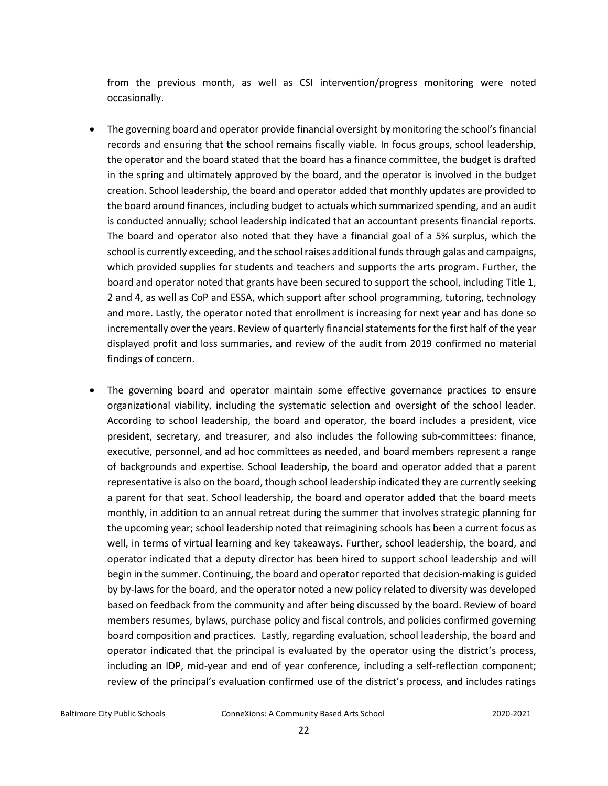from the previous month, as well as CSI intervention/progress monitoring were noted occasionally.

- The governing board and operator provide financial oversight by monitoring the school's financial records and ensuring that the school remains fiscally viable. In focus groups, school leadership, the operator and the board stated that the board has a finance committee, the budget is drafted in the spring and ultimately approved by the board, and the operator is involved in the budget creation. School leadership, the board and operator added that monthly updates are provided to the board around finances, including budget to actuals which summarized spending, and an audit is conducted annually; school leadership indicated that an accountant presents financial reports. The board and operator also noted that they have a financial goal of a 5% surplus, which the school is currently exceeding, and the school raises additional funds through galas and campaigns, which provided supplies for students and teachers and supports the arts program. Further, the board and operator noted that grants have been secured to support the school, including Title 1, 2 and 4, as well as CoP and ESSA, which support after school programming, tutoring, technology and more. Lastly, the operator noted that enrollment is increasing for next year and has done so incrementally over the years. Review of quarterly financial statements for the first half of the year displayed profit and loss summaries, and review of the audit from 2019 confirmed no material findings of concern.
- The governing board and operator maintain some effective governance practices to ensure organizational viability, including the systematic selection and oversight of the school leader. According to school leadership, the board and operator, the board includes a president, vice president, secretary, and treasurer, and also includes the following sub-committees: finance, executive, personnel, and ad hoc committees as needed, and board members represent a range of backgrounds and expertise. School leadership, the board and operator added that a parent representative is also on the board, though school leadership indicated they are currently seeking a parent for that seat. School leadership, the board and operator added that the board meets monthly, in addition to an annual retreat during the summer that involves strategic planning for the upcoming year; school leadership noted that reimagining schools has been a current focus as well, in terms of virtual learning and key takeaways. Further, school leadership, the board, and operator indicated that a deputy director has been hired to support school leadership and will begin in the summer. Continuing, the board and operator reported that decision-making is guided by by-laws for the board, and the operator noted a new policy related to diversity was developed based on feedback from the community and after being discussed by the board. Review of board members resumes, bylaws, purchase policy and fiscal controls, and policies confirmed governing board composition and practices. Lastly, regarding evaluation, school leadership, the board and operator indicated that the principal is evaluated by the operator using the district's process, including an IDP, mid-year and end of year conference, including a self-reflection component; review of the principal's evaluation confirmed use of the district's process, and includes ratings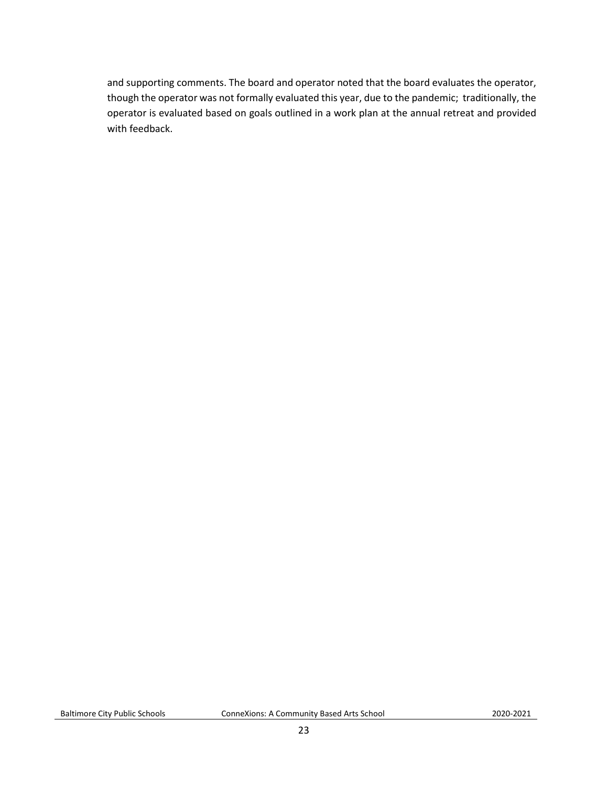and supporting comments. The board and operator noted that the board evaluates the operator, though the operator was not formally evaluated this year, due to the pandemic; traditionally, the operator is evaluated based on goals outlined in a work plan at the annual retreat and provided with feedback.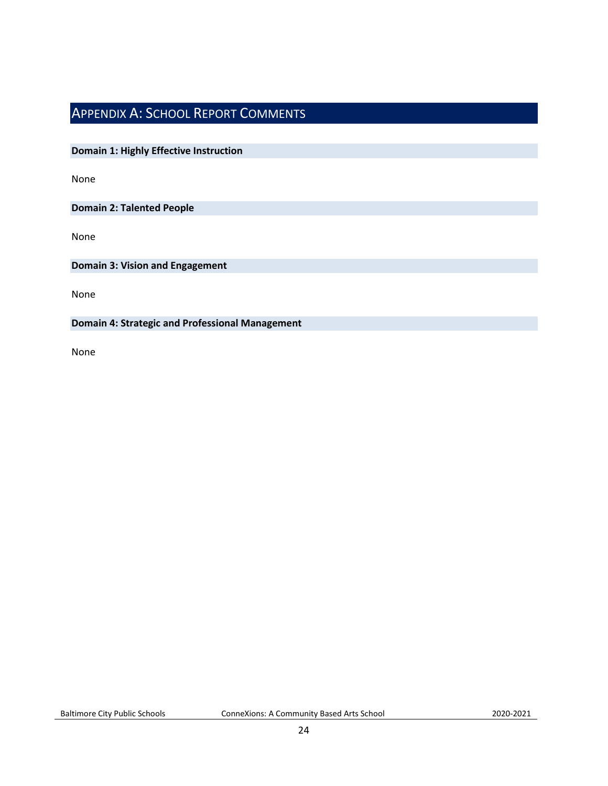# <span id="page-23-0"></span>APPENDIX A: SCHOOL REPORT COMMENTS

**Domain 1: Highly Effective Instruction**

None

**Domain 2: Talented People**

None

**Domain 3: Vision and Engagement**

None

**Domain 4: Strategic and Professional Management**

None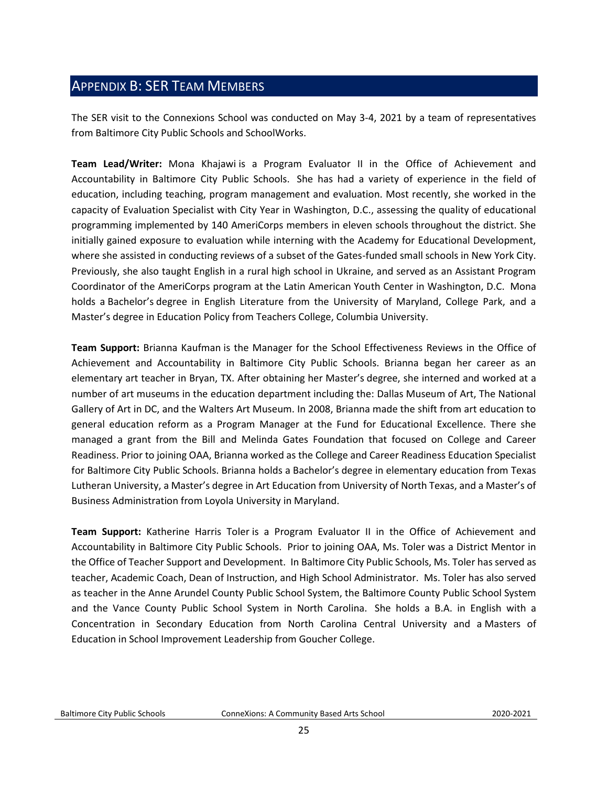# <span id="page-24-0"></span>APPENDIX B: SER TEAM MEMBERS

The SER visit to the Connexions School was conducted on May 3-4, 2021 by a team of representatives from Baltimore City Public Schools and SchoolWorks.

**Team Lead/Writer:** Mona Khajawi is a Program Evaluator II in the Office of Achievement and Accountability in Baltimore City Public Schools. She has had a variety of experience in the field of education, including teaching, program management and evaluation. Most recently, she worked in the capacity of Evaluation Specialist with City Year in Washington, D.C., assessing the quality of educational programming implemented by 140 AmeriCorps members in eleven schools throughout the district. She initially gained exposure to evaluation while interning with the Academy for Educational Development, where she assisted in conducting reviews of a subset of the Gates-funded small schools in New York City. Previously, she also taught English in a rural high school in Ukraine, and served as an Assistant Program Coordinator of the AmeriCorps program at the Latin American Youth Center in Washington, D.C. Mona holds a Bachelor's degree in English Literature from the University of Maryland, College Park, and a Master's degree in Education Policy from Teachers College, Columbia University.

**Team Support:** Brianna Kaufman is the Manager for the School Effectiveness Reviews in the Office of Achievement and Accountability in Baltimore City Public Schools. Brianna began her career as an elementary art teacher in Bryan, TX. After obtaining her Master's degree, she interned and worked at a number of art museums in the education department including the: Dallas Museum of Art, The National Gallery of Art in DC, and the Walters Art Museum. In 2008, Brianna made the shift from art education to general education reform as a Program Manager at the Fund for Educational Excellence. There she managed a grant from the Bill and Melinda Gates Foundation that focused on College and Career Readiness. Prior to joining OAA, Brianna worked as the College and Career Readiness Education Specialist for Baltimore City Public Schools. Brianna holds a Bachelor's degree in elementary education from Texas Lutheran University, a Master's degree in Art Education from University of North Texas, and a Master's of Business Administration from Loyola University in Maryland.

**Team Support:** Katherine Harris Toler is a Program Evaluator II in the Office of Achievement and Accountability in Baltimore City Public Schools. Prior to joining OAA, Ms. Toler was a District Mentor in the Office of Teacher Support and Development. In Baltimore City Public Schools, Ms. Toler has served as teacher, Academic Coach, Dean of Instruction, and High School Administrator. Ms. Toler has also served as teacher in the Anne Arundel County Public School System, the Baltimore County Public School System and the Vance County Public School System in North Carolina. She holds a B.A. in English with a Concentration in Secondary Education from North Carolina Central University and a Masters of Education in School Improvement Leadership from Goucher College.